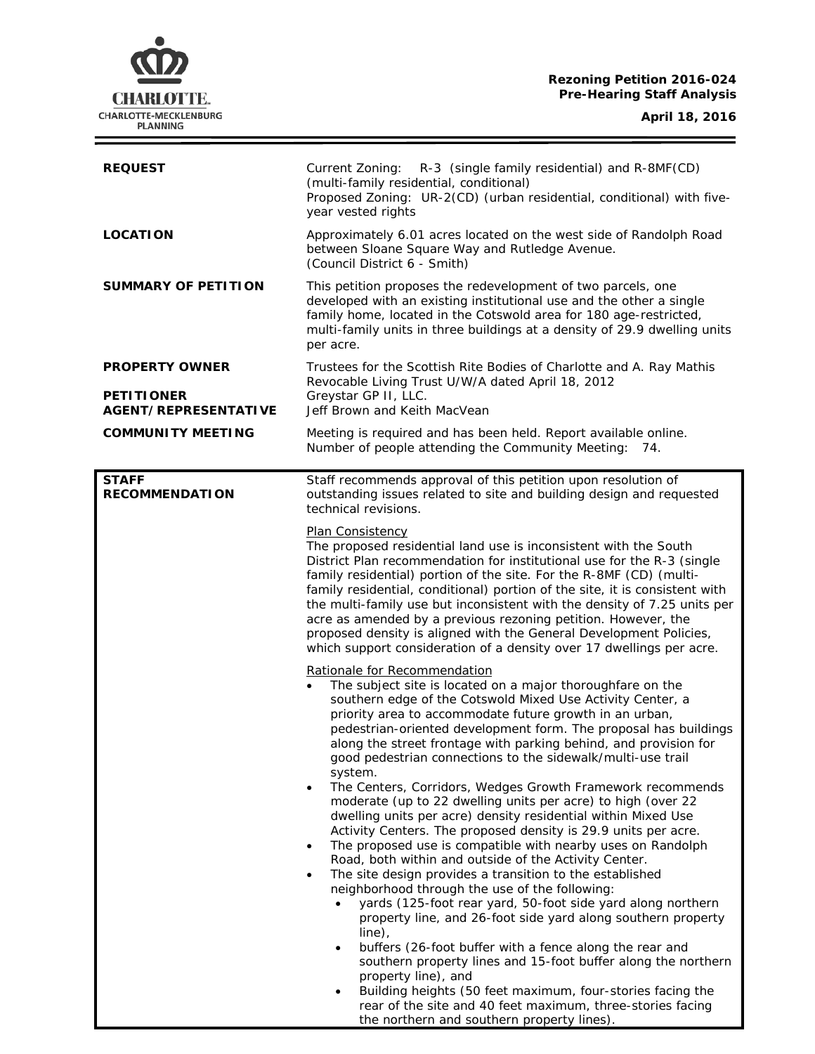# **Rezoning Petition 2016-024 Pre-Hearing Staff Analysis**

 $\equiv$ 

| <b>REQUEST</b>                                                            | Current Zoning: R-3 (single family residential) and R-8MF(CD)<br>(multi-family residential, conditional)<br>Proposed Zoning: UR-2(CD) (urban residential, conditional) with five-<br>year vested rights                                                                                                                                                                                                                                                                                                                                                                                                                                                                                                                                                                                                                                                                                                                                                                                                                                                                                                                                                                                                                                                                                                                                                                                                                                                                        |
|---------------------------------------------------------------------------|--------------------------------------------------------------------------------------------------------------------------------------------------------------------------------------------------------------------------------------------------------------------------------------------------------------------------------------------------------------------------------------------------------------------------------------------------------------------------------------------------------------------------------------------------------------------------------------------------------------------------------------------------------------------------------------------------------------------------------------------------------------------------------------------------------------------------------------------------------------------------------------------------------------------------------------------------------------------------------------------------------------------------------------------------------------------------------------------------------------------------------------------------------------------------------------------------------------------------------------------------------------------------------------------------------------------------------------------------------------------------------------------------------------------------------------------------------------------------------|
| <b>LOCATION</b>                                                           | Approximately 6.01 acres located on the west side of Randolph Road<br>between Sloane Square Way and Rutledge Avenue.<br>(Council District 6 - Smith)                                                                                                                                                                                                                                                                                                                                                                                                                                                                                                                                                                                                                                                                                                                                                                                                                                                                                                                                                                                                                                                                                                                                                                                                                                                                                                                           |
| <b>SUMMARY OF PETITION</b>                                                | This petition proposes the redevelopment of two parcels, one<br>developed with an existing institutional use and the other a single<br>family home, located in the Cotswold area for 180 age-restricted,<br>multi-family units in three buildings at a density of 29.9 dwelling units<br>per acre.                                                                                                                                                                                                                                                                                                                                                                                                                                                                                                                                                                                                                                                                                                                                                                                                                                                                                                                                                                                                                                                                                                                                                                             |
| <b>PROPERTY OWNER</b><br><b>PETITIONER</b><br><b>AGENT/REPRESENTATIVE</b> | Trustees for the Scottish Rite Bodies of Charlotte and A. Ray Mathis<br>Revocable Living Trust U/W/A dated April 18, 2012<br>Greystar GP II, LLC.<br>Jeff Brown and Keith MacVean                                                                                                                                                                                                                                                                                                                                                                                                                                                                                                                                                                                                                                                                                                                                                                                                                                                                                                                                                                                                                                                                                                                                                                                                                                                                                              |
| <b>COMMUNITY MEETING</b>                                                  | Meeting is required and has been held. Report available online.<br>Number of people attending the Community Meeting: 74.                                                                                                                                                                                                                                                                                                                                                                                                                                                                                                                                                                                                                                                                                                                                                                                                                                                                                                                                                                                                                                                                                                                                                                                                                                                                                                                                                       |
| <b>STAFF</b><br><b>RECOMMENDATION</b>                                     | Staff recommends approval of this petition upon resolution of<br>outstanding issues related to site and building design and requested<br>technical revisions.                                                                                                                                                                                                                                                                                                                                                                                                                                                                                                                                                                                                                                                                                                                                                                                                                                                                                                                                                                                                                                                                                                                                                                                                                                                                                                                  |
|                                                                           | Plan Consistency<br>The proposed residential land use is inconsistent with the South<br>District Plan recommendation for institutional use for the R-3 (single<br>family residential) portion of the site. For the R-8MF (CD) (multi-<br>family residential, conditional) portion of the site, it is consistent with<br>the multi-family use but inconsistent with the density of 7.25 units per<br>acre as amended by a previous rezoning petition. However, the<br>proposed density is aligned with the General Development Policies,<br>which support consideration of a density over 17 dwellings per acre.                                                                                                                                                                                                                                                                                                                                                                                                                                                                                                                                                                                                                                                                                                                                                                                                                                                                |
|                                                                           | Rationale for Recommendation<br>The subject site is located on a major thoroughfare on the<br>southern edge of the Cotswold Mixed Use Activity Center, a<br>priority area to accommodate future growth in an urban,<br>pedestrian-oriented development form. The proposal has buildings<br>along the street frontage with parking behind, and provision for<br>good pedestrian connections to the sidewalk/multi-use trail<br>system.<br>The Centers, Corridors, Wedges Growth Framework recommends<br>$\bullet$<br>moderate (up to 22 dwelling units per acre) to high (over 22<br>dwelling units per acre) density residential within Mixed Use<br>Activity Centers. The proposed density is 29.9 units per acre.<br>The proposed use is compatible with nearby uses on Randolph<br>$\bullet$<br>Road, both within and outside of the Activity Center.<br>The site design provides a transition to the established<br>$\bullet$<br>neighborhood through the use of the following:<br>yards (125-foot rear yard, 50-foot side yard along northern<br>property line, and 26-foot side yard along southern property<br>$line)$ ,<br>buffers (26-foot buffer with a fence along the rear and<br>$\bullet$<br>southern property lines and 15-foot buffer along the northern<br>property line), and<br>Building heights (50 feet maximum, four-stories facing the<br>٠<br>rear of the site and 40 feet maximum, three-stories facing<br>the northern and southern property lines). |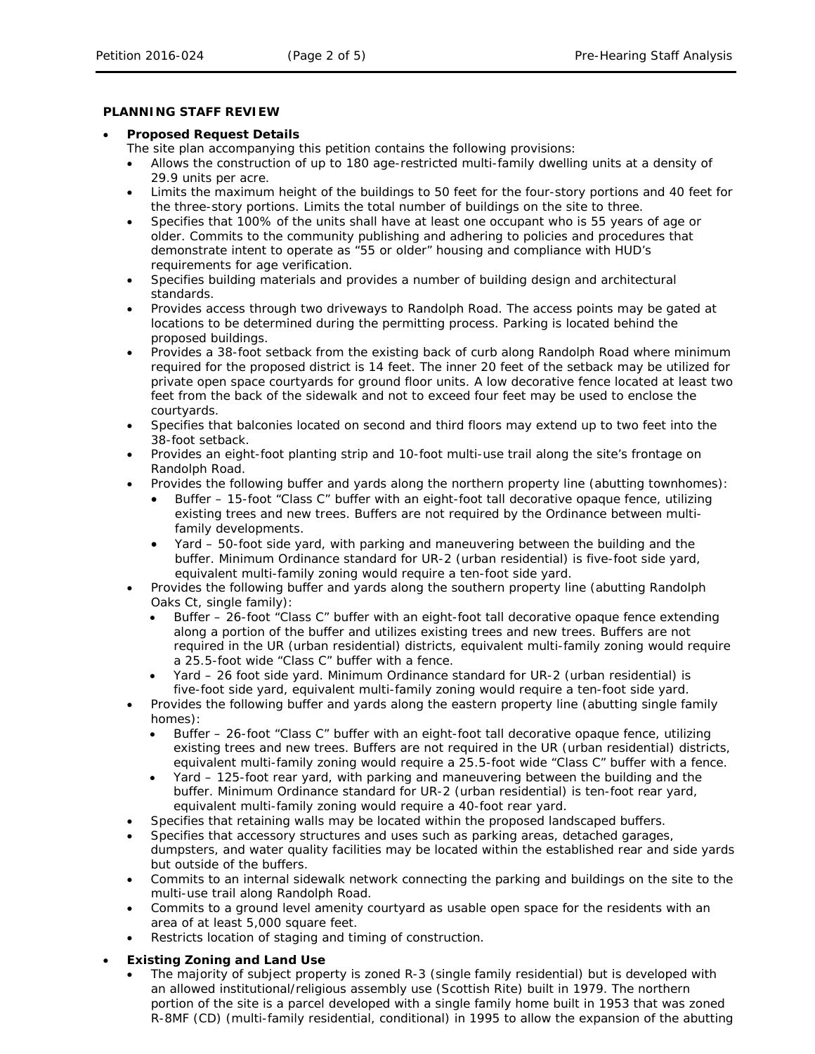## **PLANNING STAFF REVIEW**

### • **Proposed Request Details**

- The site plan accompanying this petition contains the following provisions:
- Allows the construction of up to 180 age-restricted multi-family dwelling units at a density of 29.9 units per acre.
- Limits the maximum height of the buildings to 50 feet for the four-story portions and 40 feet for the three-story portions. Limits the total number of buildings on the site to three.
- Specifies that 100% of the units shall have at least one occupant who is 55 years of age or older. Commits to the community publishing and adhering to policies and procedures that demonstrate intent to operate as "55 or older" housing and compliance with HUD's requirements for age verification.
- Specifies building materials and provides a number of building design and architectural standards.
- Provides access through two driveways to Randolph Road. The access points may be gated at locations to be determined during the permitting process. Parking is located behind the proposed buildings.
- Provides a 38-foot setback from the existing back of curb along Randolph Road where minimum required for the proposed district is 14 feet. The inner 20 feet of the setback may be utilized for private open space courtyards for ground floor units. A low decorative fence located at least two feet from the back of the sidewalk and not to exceed four feet may be used to enclose the courtyards.
- Specifies that balconies located on second and third floors may extend up to two feet into the 38-foot setback.
- Provides an eight-foot planting strip and 10-foot multi-use trail along the site's frontage on Randolph Road.
- Provides the following buffer and yards along the northern property line (abutting townhomes):
	- Buffer 15-foot "Class C" buffer with an eight-foot tall decorative opaque fence, utilizing existing trees and new trees. Buffers are not required by the Ordinance between multifamily developments.
	- Yard 50-foot side yard, with parking and maneuvering between the building and the buffer. Minimum Ordinance standard for UR-2 (urban residential) is five-foot side yard, equivalent multi-family zoning would require a ten-foot side yard.
- Provides the following buffer and yards along the southern property line (abutting Randolph Oaks Ct, single family):
	- Buffer 26-foot "Class C" buffer with an eight-foot tall decorative opaque fence extending along a portion of the buffer and utilizes existing trees and new trees. Buffers are not required in the UR (urban residential) districts, equivalent multi-family zoning would require a 25.5-foot wide "Class C" buffer with a fence.
	- Yard 26 foot side yard. Minimum Ordinance standard for UR-2 (urban residential) is five-foot side yard, equivalent multi-family zoning would require a ten-foot side yard.
- Provides the following buffer and yards along the eastern property line (abutting single family homes):
	- Buffer 26-foot "Class C" buffer with an eight-foot tall decorative opaque fence, utilizing existing trees and new trees. Buffers are not required in the UR (urban residential) districts, equivalent multi-family zoning would require a 25.5-foot wide "Class C" buffer with a fence.
	- Yard 125-foot rear yard, with parking and maneuvering between the building and the buffer. Minimum Ordinance standard for UR-2 (urban residential) is ten-foot rear yard, equivalent multi-family zoning would require a 40-foot rear yard.
- Specifies that retaining walls may be located within the proposed landscaped buffers.
- Specifies that accessory structures and uses such as parking areas, detached garages, dumpsters, and water quality facilities may be located within the established rear and side yards but outside of the buffers.
- Commits to an internal sidewalk network connecting the parking and buildings on the site to the multi-use trail along Randolph Road.
- Commits to a ground level amenity courtyard as usable open space for the residents with an area of at least 5,000 square feet.
- Restricts location of staging and timing of construction.

# • **Existing Zoning and Land Use**

• The majority of subject property is zoned R-3 (single family residential) but is developed with an allowed institutional/religious assembly use (Scottish Rite) built in 1979. The northern portion of the site is a parcel developed with a single family home built in 1953 that was zoned R-8MF (CD) (multi-family residential, conditional) in 1995 to allow the expansion of the abutting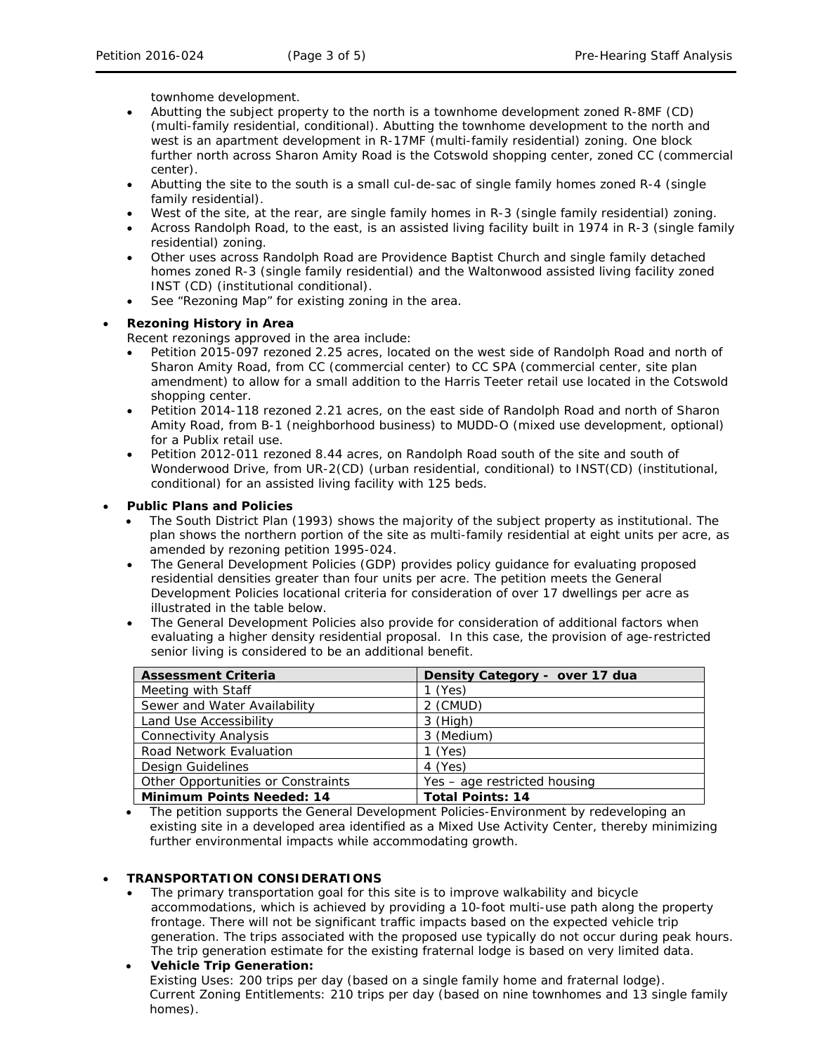townhome development.

- Abutting the subject property to the north is a townhome development zoned R-8MF (CD) (multi-family residential, conditional). Abutting the townhome development to the north and west is an apartment development in R-17MF (multi-family residential) zoning. One block further north across Sharon Amity Road is the Cotswold shopping center, zoned CC (commercial center).
- Abutting the site to the south is a small cul-de-sac of single family homes zoned R-4 (single family residential).
- West of the site, at the rear, are single family homes in R-3 (single family residential) zoning.
- Across Randolph Road, to the east, is an assisted living facility built in 1974 in R-3 (single family residential) zoning.
- Other uses across Randolph Road are Providence Baptist Church and single family detached homes zoned R-3 (single family residential) and the Waltonwood assisted living facility zoned INST (CD) (institutional conditional).
- See "Rezoning Map" for existing zoning in the area.

# • **Rezoning History in Area**

Recent rezonings approved in the area include:

- Petition 2015-097 rezoned 2.25 acres, located on the west side of Randolph Road and north of Sharon Amity Road, from CC (commercial center) to CC SPA (commercial center, site plan amendment) to allow for a small addition to the Harris Teeter retail use located in the Cotswold shopping center.
- Petition 2014-118 rezoned 2.21 acres, on the east side of Randolph Road and north of Sharon Amity Road, from B-1 (neighborhood business) to MUDD-O (mixed use development, optional) for a Publix retail use.
- Petition 2012-011 rezoned 8.44 acres, on Randolph Road south of the site and south of Wonderwood Drive, from UR-2(CD) (urban residential, conditional) to INST(CD) (institutional, conditional) for an assisted living facility with 125 beds.

## • **Public Plans and Policies**

- The *South District Plan* (1993) shows the majority of the subject property as institutional. The plan shows the northern portion of the site as multi-family residential at eight units per acre, as amended by rezoning petition 1995-024.
- The *General Development Policies* (GDP) provides policy guidance for evaluating proposed residential densities greater than four units per acre. The petition meets the *General Development Policies* locational criteria for consideration of over 17 dwellings per acre as illustrated in the table below.
- The *General Development Policies* also provide for consideration of additional factors when evaluating a higher density residential proposal. In this case, the provision of age-restricted senior living is considered to be an additional benefit.

| <b>Assessment Criteria</b>         | Density Category - over 17 dua |
|------------------------------------|--------------------------------|
| Meeting with Staff                 | l (Yes)                        |
| Sewer and Water Availability       | 2 (CMUD)                       |
| Land Use Accessibility             | $3$ (High)                     |
| <b>Connectivity Analysis</b>       | 3 (Medium)                     |
| <b>Road Network Evaluation</b>     | $1$ (Yes)                      |
| Design Guidelines                  | 4 (Yes)                        |
| Other Opportunities or Constraints | Yes - age restricted housing   |
| <b>Minimum Points Needed: 14</b>   | <b>Total Points: 14</b>        |

• The petition supports the *General Development Policies-Environment* by redeveloping an existing site in a developed area identified as a Mixed Use Activity Center, thereby minimizing further environmental impacts while accommodating growth.

# • **TRANSPORTATION CONSIDERATIONS**

The primary transportation goal for this site is to improve walkability and bicycle accommodations, which is achieved by providing a 10-foot multi-use path along the property frontage. There will not be significant traffic impacts based on the expected vehicle trip generation. The trips associated with the proposed use typically do not occur during peak hours. The trip generation estimate for the existing fraternal lodge is based on very limited data.

# • **Vehicle Trip Generation:** Existing Uses: 200 trips per day (based on a single family home and fraternal lodge). Current Zoning Entitlements: 210 trips per day (based on nine townhomes and 13 single family homes).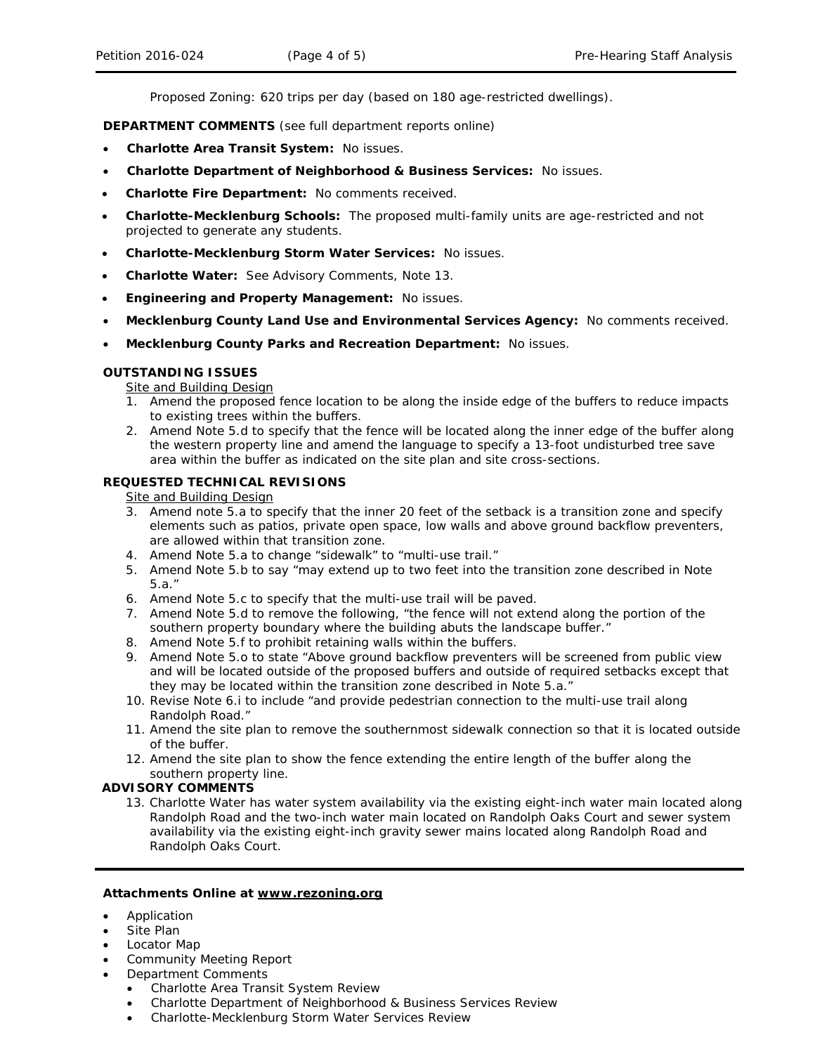Proposed Zoning: 620 trips per day (based on 180 age-restricted dwellings).

**DEPARTMENT COMMENTS** (see full department reports online)

- **Charlotte Area Transit System:** No issues.
- **Charlotte Department of Neighborhood & Business Services:** No issues.
- **Charlotte Fire Department:** No comments received.
- **Charlotte-Mecklenburg Schools:** The proposed multi-family units are age-restricted and not projected to generate any students.
- **Charlotte-Mecklenburg Storm Water Services:** No issues.
- **Charlotte Water:** See Advisory Comments, Note 13.
- **Engineering and Property Management:** No issues.
- **Mecklenburg County Land Use and Environmental Services Agency:** No comments received.
- **Mecklenburg County Parks and Recreation Department:** No issues.

## **OUTSTANDING ISSUES**

**Site and Building Design** 

- 1. Amend the proposed fence location to be along the inside edge of the buffers to reduce impacts to existing trees within the buffers.
- 2. Amend Note 5.d to specify that the fence will be located along the inner edge of the buffer along the western property line and amend the language to specify a 13-foot undisturbed tree save area within the buffer as indicated on the site plan and site cross-sections.

## **REQUESTED TECHNICAL REVISIONS**

Site and Building Design

- 3. Amend note 5.a to specify that the inner 20 feet of the setback is a transition zone and specify elements such as patios, private open space, low walls and above ground backflow preventers, are allowed within that transition zone.
- 4. Amend Note 5.a to change "sidewalk" to "multi-use trail."
- 5. Amend Note 5.b to say "may extend up to two feet into the transition zone described in Note 5.a."
- 6. Amend Note 5.c to specify that the multi-use trail will be paved.
- 7. Amend Note 5.d to remove the following, "the fence will not extend along the portion of the southern property boundary where the building abuts the landscape buffer."
- 8. Amend Note 5.f to prohibit retaining walls within the buffers.
- 9. Amend Note 5.o to state "Above ground backflow preventers will be screened from public view and will be located outside of the proposed buffers and outside of required setbacks except that they may be located within the transition zone described in Note 5.a."
- 10. Revise Note 6.i to include "and provide pedestrian connection to the multi-use trail along Randolph Road."
- 11. Amend the site plan to remove the southernmost sidewalk connection so that it is located outside of the buffer.
- 12. Amend the site plan to show the fence extending the entire length of the buffer along the southern property line.

#### **ADVISORY COMMENTS**

13. Charlotte Water has water system availability via the existing eight-inch water main located along Randolph Road and the two-inch water main located on Randolph Oaks Court and sewer system availability via the existing eight-inch gravity sewer mains located along Randolph Road and Randolph Oaks Court.

#### **Attachments Online at www.rezoning.org**

- Application
- Site Plan
- Locator Map
- Community Meeting Report
- Department Comments
	- Charlotte Area Transit System Review
	- Charlotte Department of Neighborhood & Business Services Review
	- Charlotte-Mecklenburg Storm Water Services Review